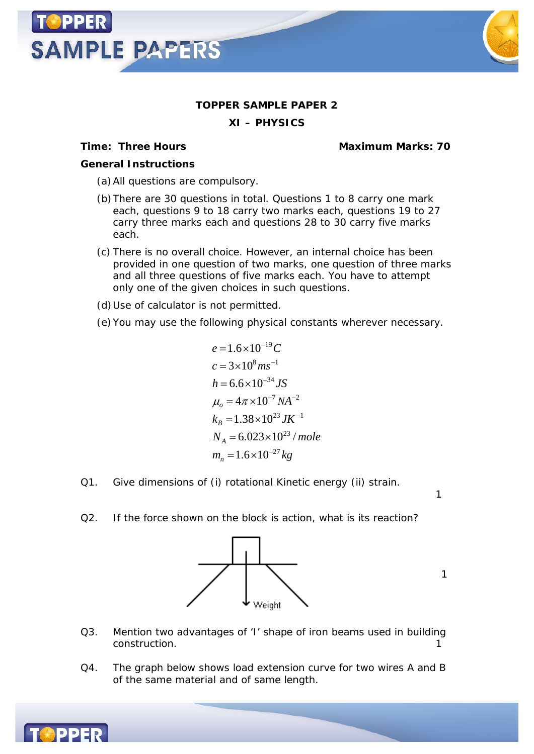

**XI – PHYSICS**

**SAMPLE PAPERS** 

**Time: Three Hours Maximum Marks: 70**

*General Instructions*

(a)All questions are compulsory.

- (b)There are 30 questions in total. Questions 1 to 8 carry one mark each, questions 9 to 18 carry two marks each, questions 19 to 27 carry three marks each and questions 28 to 30 carry five marks each.
- (c) There is no overall choice. However, an internal choice has been provided in one question of two marks, one question of three marks and all three questions of five marks each. You have to attempt only one of the given choices in such questions.

(d)Use of calculator is not permitted.

(e)You may use the following physical constants wherever necessary.

$$
e = 1.6 \times 10^{-19} C
$$
  
\n
$$
c = 3 \times 10^8 m s^{-1}
$$
  
\n
$$
h = 6.6 \times 10^{-34} JS
$$
  
\n
$$
\mu_o = 4\pi \times 10^{-7} NA^{-2}
$$
  
\n
$$
k_B = 1.38 \times 10^{23} JK^{-1}
$$
  
\n
$$
N_A = 6.023 \times 10^{23} / mole
$$
  
\n
$$
m_n = 1.6 \times 10^{-27} kg
$$

- Q1. Give dimensions of (i) rotational Kinetic energy (ii) strain.
- Q2. If the force shown on the block is action, what is its reaction?



1

1

- Q3. Mention two advantages of 'I' shape of iron beams used in building construction. The construction of the construction of the construction of the construction of the construction of the construction of the construction of the construction of the construction of the construction of the cons
- Q4. The graph below shows load extension curve for two wires A and B of the same material and of same length.

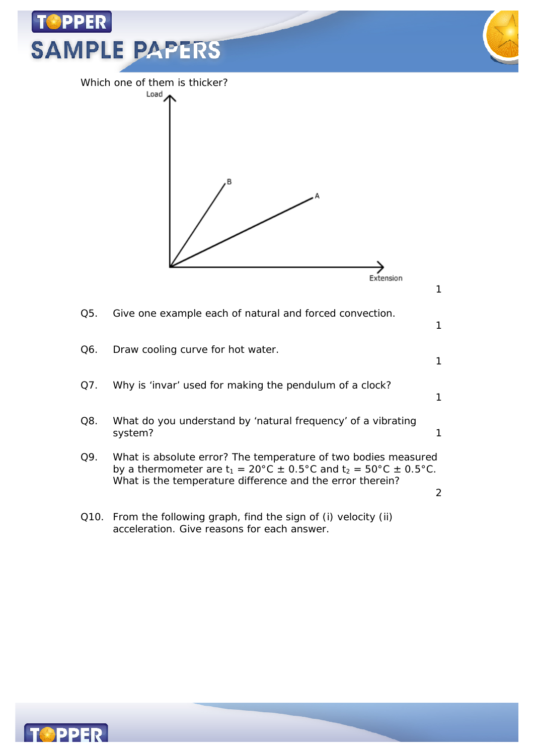

acceleration. Give reasons for each answer.

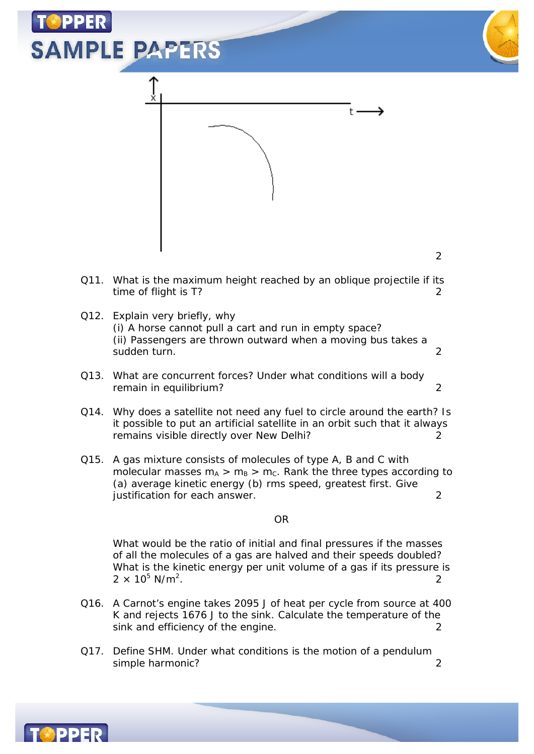

- (i) A horse cannot pull a cart and run in empty space? (ii) Passengers are thrown outward when a moving bus takes a sudden turn. 2
- Q13. What are concurrent forces? Under what conditions will a body remain in equilibrium? 2
- Q14. Why does a satellite not need any fuel to circle around the earth? Is it possible to put an artificial satellite in an orbit such that it always remains visible directly over New Delhi? 2
- Q15. A gas mixture consists of molecules of type A, B and C with molecular masses  $m_A > m_B > m_C$ . Rank the three types according to (a) average kinetic energy (b) rms speed, greatest first. Give justification for each answer. 2

## OR

What would be the ratio of initial and final pressures if the masses of all the molecules of a gas are halved and their speeds doubled? What is the kinetic energy per unit volume of a gas if its pressure is  $2 \times 10^5$  N/m<sup>2</sup>. . 2

- Q16. A Carnot's engine takes 2095 J of heat per cycle from source at 400 K and rejects 1676 J to the sink. Calculate the temperature of the sink and efficiency of the engine. 2
- Q17. Define SHM. Under what conditions is the motion of a pendulum simple harmonic? 2

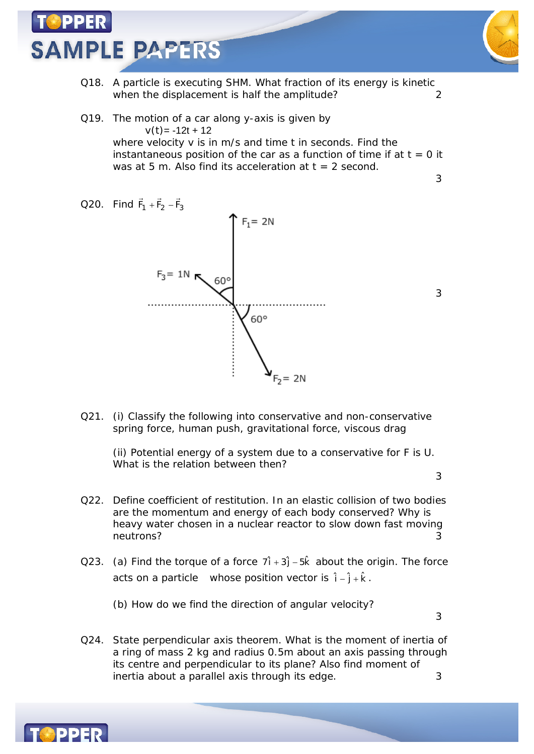## **SAMPLE PAPERS**



- Q18. A particle is executing SHM. What fraction of its energy is kinetic when the displacement is half the amplitude?
- Q19. The motion of a car along y-axis is given by  $v(t) = -12t + 12$ where velocity v is in m/s and time t in seconds. Find the instantaneous position of the car as a function of time if at  $t = 0$  it was at 5 m. Also find its acceleration at  $t = 2$  second.
- $\Rightarrow$   $\Rightarrow$   $\Rightarrow$ Q20. Find  $F_1 + F_2 - F_3$  $F_1 + F_2 - F_3$  $F_1 = 2N$  $F_3 = 1N$  $60^\circ$  $60^\circ$  $= 2N$
- Q21. (i) Classify the following into conservative and non-conservative spring force, human push, gravitational force, viscous drag

(ii) Potential energy of a system due to a conservative for F is U. What is the relation between then?

3

3

3

- Q22. Define coefficient of restitution. In an elastic collision of two bodies are the momentum and energy of each body conserved? Why is heavy water chosen in a nuclear reactor to slow down fast moving neutrons?
- Q23. (a) Find the torque of a force  $7\hat{i} + 3\hat{j} 5\hat{k}$  about the origin. The force acts on a particle whose position vector is  $\hat{i} - \hat{j} + \hat{k}$ .

(b) How do we find the direction of angular velocity?

3

Q24. State perpendicular axis theorem. What is the moment of inertia of a ring of mass 2 kg and radius 0.5m about an axis passing through its centre and perpendicular to its plane? Also find moment of inertia about a parallel axis through its edge.  $\frac{3}{2}$ 

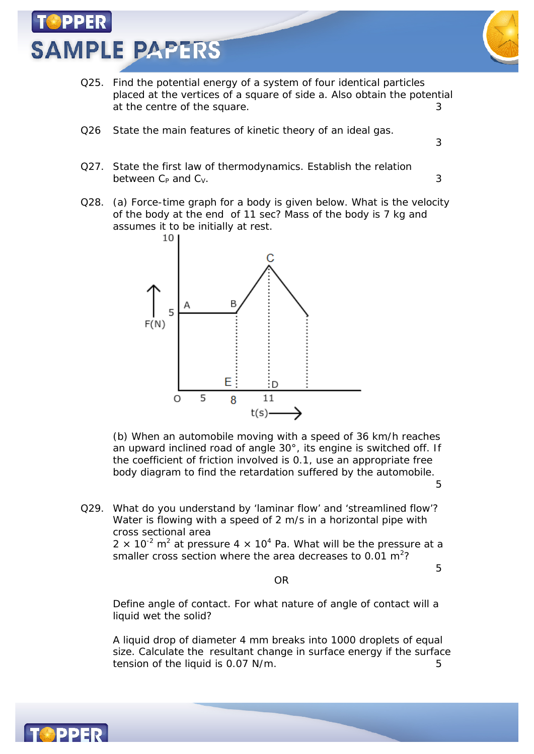



- Q25. Find the potential energy of a system of four identical particles placed at the vertices of a square of side a. Also obtain the potential at the centre of the square. The same state of the square.
- Q26 State the main features of kinetic theory of an ideal gas.
- Q27. State the first law of thermodynamics. Establish the relation between  $C_P$  and  $C_V$ . 3
- Q28. (a) Force-time graph for a body is given below. What is the velocity of the body at the end of 11 sec? Mass of the body is 7 kg and assumes it to be initially at rest.



(b) When an automobile moving with a speed of 36 km/h reaches an upward inclined road of angle 30°, its engine is switched off. If the coefficient of friction involved is 0.1, use an appropriate free body diagram to find the retardation suffered by the automobile.

5

5

3

Q29. What do you understand by 'laminar flow' and 'streamlined flow'? Water is flowing with a speed of 2 m/s in a horizontal pipe with cross sectional area 2  $\times$  10<sup>-2</sup> m<sup>2</sup> at pressure 4  $\times$  10<sup>4</sup> Pa. What will be the pressure at a smaller cross section where the area decreases to 0.01 m<sup>2</sup>?

OR

Define angle of contact. For what nature of angle of contact will a liquid wet the solid?

A liquid drop of diameter 4 mm breaks into 1000 droplets of equal size. Calculate the resultant change in surface energy if the surface tension of the liquid is 0.07 N/m.